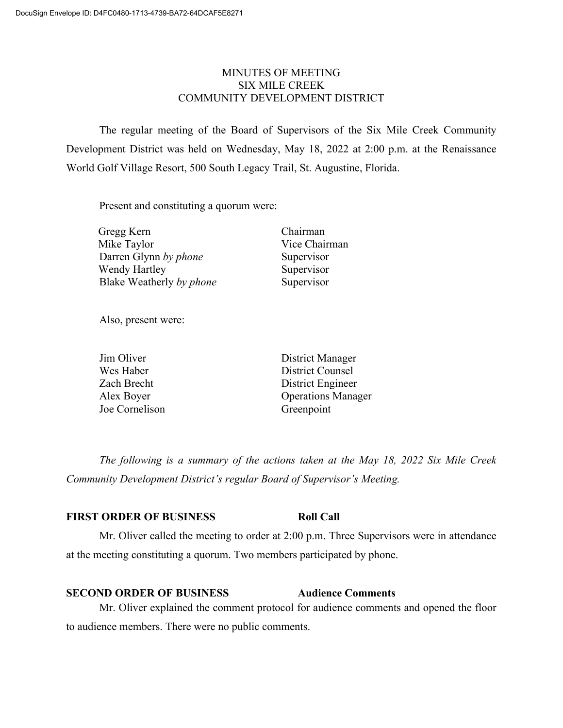### MINUTES OF MEETING SIX MILE CREEK COMMUNITY DEVELOPMENT DISTRICT

The regular meeting of the Board of Supervisors of the Six Mile Creek Community Development District was held on Wednesday, May 18, 2022 at 2:00 p.m. at the Renaissance World Golf Village Resort, 500 South Legacy Trail, St. Augustine, Florida.

Present and constituting a quorum were:

| Gregg Kern               | Chairman      |
|--------------------------|---------------|
| Mike Taylor              | Vice Chairman |
| Darren Glynn by phone    | Supervisor    |
| Wendy Hartley            | Supervisor    |
| Blake Weatherly by phone | Supervisor    |

Also, present were:

| Jim Oliver     | District Manager          |
|----------------|---------------------------|
| Wes Haber      | District Counsel          |
| Zach Brecht    | District Engineer         |
| Alex Boyer     | <b>Operations Manager</b> |
| Joe Cornelison | Greenpoint                |

*The following is a summary of the actions taken at the May 18, 2022 Six Mile Creek Community Development District's regular Board of Supervisor's Meeting.*

#### **FIRST ORDER OF BUSINESS Roll Call**

Mr. Oliver called the meeting to order at 2:00 p.m. Three Supervisors were in attendance at the meeting constituting a quorum. Two members participated by phone.

#### **SECOND ORDER OF BUSINESS Audience Comments**

# Mr. Oliver explained the comment protocol for audience comments and opened the floor to audience members. There were no public comments.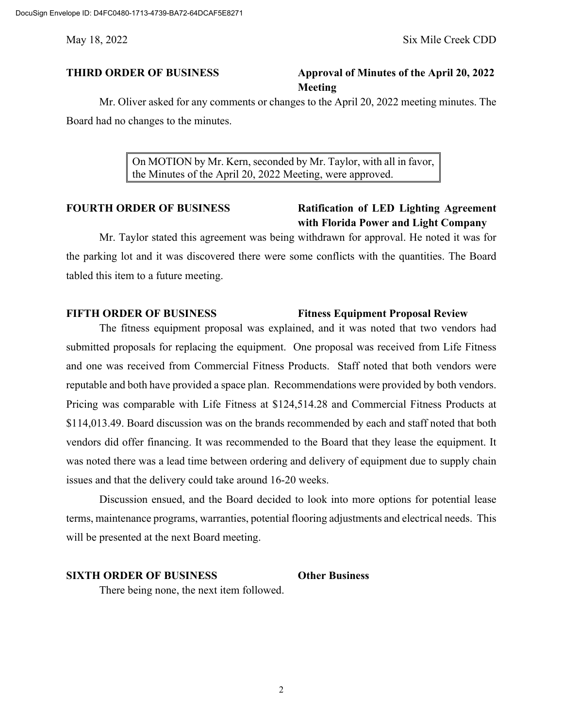## **THIRD ORDER OF BUSINESS Approval of Minutes of the April 20, 2022 Meeting**

Mr. Oliver asked for any comments or changes to the April 20, 2022 meeting minutes. The Board had no changes to the minutes.

> On MOTION by Mr. Kern, seconded by Mr. Taylor, with all in favor, the Minutes of the April 20, 2022 Meeting, were approved.

## **FOURTH ORDER OF BUSINESS Ratification of LED Lighting Agreement with Florida Power and Light Company**

Mr. Taylor stated this agreement was being withdrawn for approval. He noted it was for the parking lot and it was discovered there were some conflicts with the quantities. The Board tabled this item to a future meeting.

### **FIFTH ORDER OF BUSINESS Fitness Equipment Proposal Review**

The fitness equipment proposal was explained, and it was noted that two vendors had submitted proposals for replacing the equipment. One proposal was received from Life Fitness and one was received from Commercial Fitness Products. Staff noted that both vendors were reputable and both have provided a space plan. Recommendations were provided by both vendors. Pricing was comparable with Life Fitness at \$124,514.28 and Commercial Fitness Products at \$114,013.49. Board discussion was on the brands recommended by each and staff noted that both vendors did offer financing. It was recommended to the Board that they lease the equipment. It was noted there was a lead time between ordering and delivery of equipment due to supply chain issues and that the delivery could take around 16-20 weeks.

Discussion ensued, and the Board decided to look into more options for potential lease terms, maintenance programs, warranties, potential flooring adjustments and electrical needs. This will be presented at the next Board meeting.

#### **SIXTH ORDER OF BUSINESS Other Business**

There being none, the next item followed.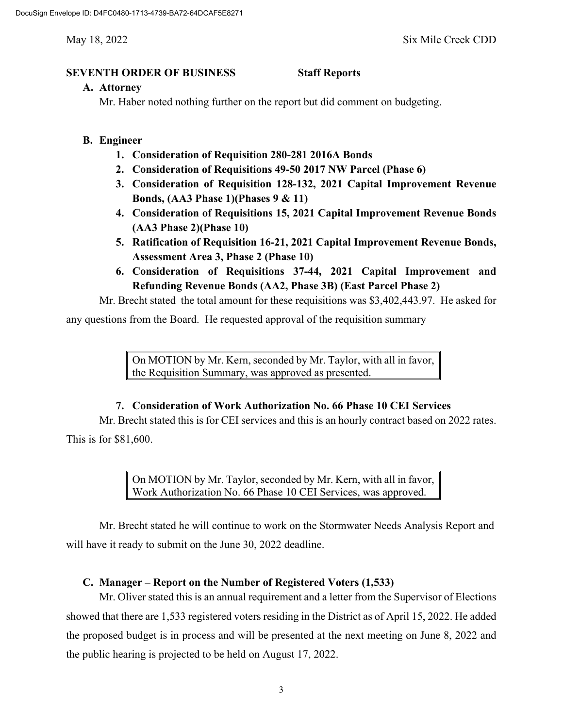#### **SEVENTH ORDER OF BUSINESS Staff Reports**

#### **A. Attorney**

Mr. Haber noted nothing further on the report but did comment on budgeting.

### **B. Engineer**

- **1. Consideration of Requisition 280-281 2016A Bonds**
- **2. Consideration of Requisitions 49-50 2017 NW Parcel (Phase 6)**
- **3. Consideration of Requisition 128-132, 2021 Capital Improvement Revenue Bonds, (AA3 Phase 1)(Phases 9 & 11)**
- **4. Consideration of Requisitions 15, 2021 Capital Improvement Revenue Bonds (AA3 Phase 2)(Phase 10)**
- **5. Ratification of Requisition 16-21, 2021 Capital Improvement Revenue Bonds, Assessment Area 3, Phase 2 (Phase 10)**
- **6. Consideration of Requisitions 37-44, 2021 Capital Improvement and Refunding Revenue Bonds (AA2, Phase 3B) (East Parcel Phase 2)**

Mr. Brecht stated the total amount for these requisitions was \$3,402,443.97. He asked for

any questions from the Board. He requested approval of the requisition summary

On MOTION by Mr. Kern, seconded by Mr. Taylor, with all in favor, the Requisition Summary, was approved as presented.

### **7. Consideration of Work Authorization No. 66 Phase 10 CEI Services**

Mr. Brecht stated this is for CEI services and this is an hourly contract based on 2022 rates. This is for \$81,600.

> On MOTION by Mr. Taylor, seconded by Mr. Kern, with all in favor, Work Authorization No. 66 Phase 10 CEI Services, was approved.

Mr. Brecht stated he will continue to work on the Stormwater Needs Analysis Report and will have it ready to submit on the June 30, 2022 deadline.

## **C. Manager – Report on the Number of Registered Voters (1,533)**

Mr. Oliver stated this is an annual requirement and a letter from the Supervisor of Elections showed that there are 1,533 registered voters residing in the District as of April 15, 2022. He added the proposed budget is in process and will be presented at the next meeting on June 8, 2022 and the public hearing is projected to be held on August 17, 2022.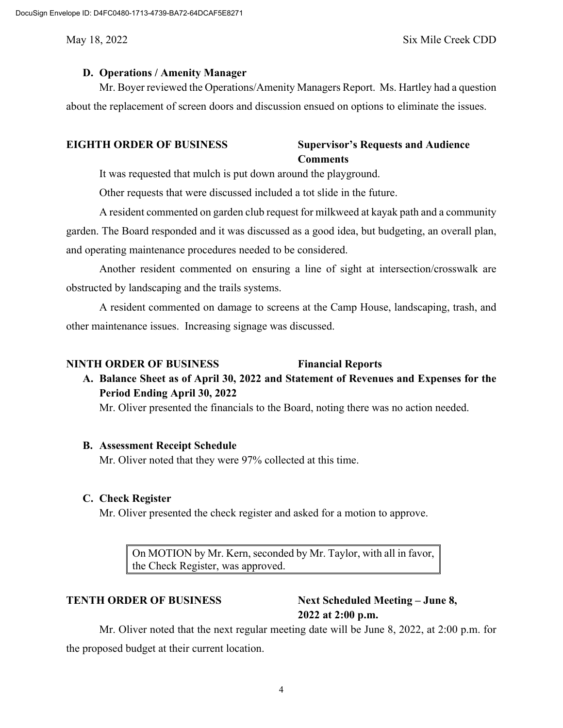### May 18, 2022 Six Mile Creek CDD

### **D. Operations / Amenity Manager**

Mr. Boyer reviewed the Operations/Amenity Managers Report. Ms. Hartley had a question about the replacement of screen doors and discussion ensued on options to eliminate the issues.

## **EIGHTH ORDER OF BUSINESS Supervisor's Requests and Audience Comments**

It was requested that mulch is put down around the playground.

Other requests that were discussed included a tot slide in the future.

A resident commented on garden club request for milkweed at kayak path and a community garden. The Board responded and it was discussed as a good idea, but budgeting, an overall plan, and operating maintenance procedures needed to be considered.

Another resident commented on ensuring a line of sight at intersection/crosswalk are obstructed by landscaping and the trails systems.

A resident commented on damage to screens at the Camp House, landscaping, trash, and other maintenance issues. Increasing signage was discussed.

#### **NINTH ORDER OF BUSINESS Financial Reports**

## **A. Balance Sheet as of April 30, 2022 and Statement of Revenues and Expenses for the Period Ending April 30, 2022**

Mr. Oliver presented the financials to the Board, noting there was no action needed.

#### **B. Assessment Receipt Schedule**

Mr. Oliver noted that they were 97% collected at this time.

### **C. Check Register**

Mr. Oliver presented the check register and asked for a motion to approve.

On MOTION by Mr. Kern, seconded by Mr. Taylor, with all in favor, the Check Register, was approved.

**TENTH ORDER OF BUSINESS Next Scheduled Meeting – June 8, 2022 at 2:00 p.m.**

Mr. Oliver noted that the next regular meeting date will be June 8, 2022, at 2:00 p.m. for the proposed budget at their current location.